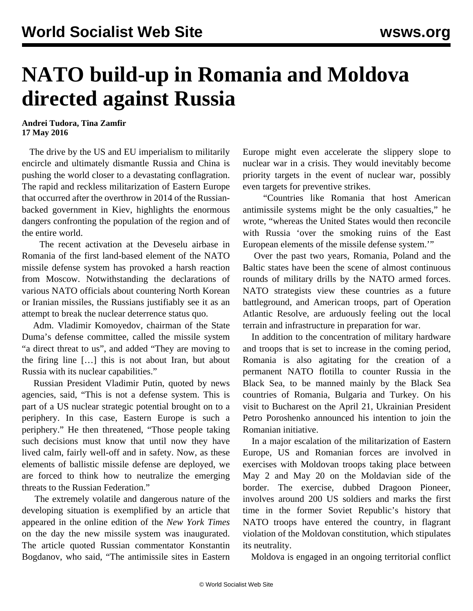## **NATO build-up in Romania and Moldova directed against Russia**

## **Andrei Tudora, Tina Zamfir 17 May 2016**

 The drive by the US and EU imperialism to militarily encircle and ultimately dismantle Russia and China is pushing the world closer to a devastating conflagration. The rapid and reckless militarization of Eastern Europe that occurred after the overthrow in 2014 of the Russianbacked government in Kiev, highlights the enormous dangers confronting the population of the region and of the entire world.

 The recent [activation](/en/articles/2016/05/13/nato-m13.html) at the Deveselu airbase in Romania of the first land-based element of the NATO missile defense system has provoked a harsh reaction from Moscow. Notwithstanding the declarations of various NATO officials about countering North Korean or Iranian missiles, the Russians justifiably see it as an attempt to break the nuclear deterrence status quo.

 Adm. Vladimir Komoyedov, chairman of the State Duma's defense committee, called the missile system "a direct threat to us", and added "They are moving to the firing line […] this is not about Iran, but about Russia with its nuclear capabilities."

 Russian President Vladimir Putin, quoted by news agencies, said, "This is not a defense system. This is part of a US nuclear strategic potential brought on to a periphery. In this case, Eastern Europe is such a periphery." He then threatened, "Those people taking such decisions must know that until now they have lived calm, fairly well-off and in safety. Now, as these elements of ballistic missile defense are deployed, we are forced to think how to neutralize the emerging threats to the Russian Federation."

 The extremely volatile and dangerous nature of the developing situation is exemplified by an article that appeared in the online edition of the *New York Times* on the day the new missile system was inaugurated. The article quoted Russian commentator Konstantin Bogdanov, who said, "The antimissile sites in Eastern Europe might even accelerate the slippery slope to nuclear war in a crisis. They would inevitably become priority targets in the event of nuclear war, possibly even targets for preventive strikes.

 "Countries like Romania that host American antimissile systems might be the only casualties," he wrote, "whereas the United States would then reconcile with Russia 'over the smoking ruins of the East European elements of the missile defense system.'"

 Over the past two years, Romania, Poland and the Baltic states have been the scene of almost continuous rounds of military drills by the NATO armed forces. NATO strategists view these countries as a future battleground, and American troops, part of Operation Atlantic Resolve, are arduously feeling out the local terrain and infrastructure in preparation for war.

 In addition to the concentration of military hardware and troops that is set to increase in the coming period, Romania is also agitating for the creation of a permanent NATO flotilla to counter Russia in the Black Sea, to be manned mainly by the Black Sea countries of Romania, Bulgaria and Turkey. On his visit to Bucharest on the April 21, Ukrainian President Petro Poroshenko announced his intention to join the Romanian initiative.

 In a major escalation of the militarization of Eastern Europe, US and Romanian forces are involved in exercises with Moldovan troops taking place between May 2 and May 20 on the Moldavian side of the border. The exercise, dubbed Dragoon Pioneer, involves around 200 US soldiers and marks the first time in the former Soviet Republic's history that NATO troops have entered the country, in flagrant violation of the Moldovan constitution, which stipulates its neutrality.

Moldova is engaged in an ongoing territorial conflict